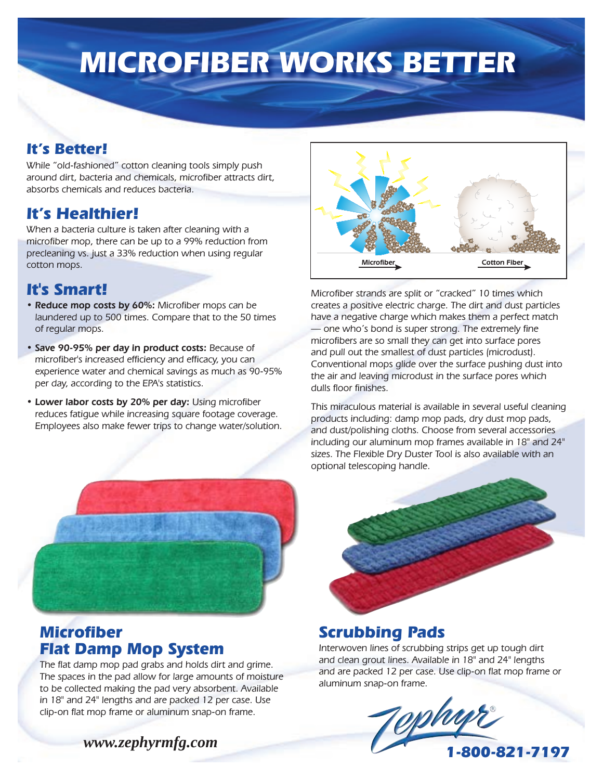# **MICROFIBER WORKS BETTER**

#### **It's Better!**

While "old-fashioned" cotton cleaning tools simply push around dirt, bacteria and chemicals, microfiber attracts dirt, absorbs chemicals and reduces bacteria.

### **It's Healthier!**

When a bacteria culture is taken after cleaning with a microfiber mop, there can be up to a 99% reduction from precleaning vs. just a 33% reduction when using regular cotton mops.

# **It's Smart!**

- Reduce mop costs by 60%: Microfiber mops can be laundered up to 500 times. Compare that to the 50 times of regular mops.
- Save 90-95% per day in product costs: Because of microfiber's increased efficiency and efficacy, you can experience water and chemical savings as much as 90-95% per day, according to the EPA's statistics.
- Lower labor costs by 20% per day: Using microfiber reduces fatigue while increasing square footage coverage. Employees also make fewer trips to change water/solution.



Microfiber strands are split or "cracked" 10 times which creates a positive electric charge. The dirt and dust particles have a negative charge which makes them a perfect match — one who's bond is super strong. The extremely fine microfibers are so small they can get into surface pores and pull out the smallest of dust particles (microdust). Conventional mops glide over the surface pushing dust into the air and leaving microdust in the surface pores which dulls floor finishes.

This miraculous material is available in several useful cleaning products including: damp mop pads, dry dust mop pads, and dust/polishing cloths. Choose from several accessories including our aluminum mop frames available in 18" and 24" sizes. The Flexible Dry Duster Tool is also available with an optional telescoping handle.



### **Microfiber Flat Damp Mop System**

The flat damp mop pad grabs and holds dirt and grime. The spaces in the pad allow for large amounts of moisture to be collected making the pad very absorbent. Available in 18" and 24" lengths and are packed 12 per case. Use clip-on flat mop frame or aluminum snap-on frame.

*www.zephyrmfg.com*

# **Scrubbing Pads**

Interwoven lines of scrubbing strips get up tough dirt and clean grout lines. Available in 18" and 24" lengths and are packed 12 per case. Use clip-on flat mop frame or aluminum snap-on frame.